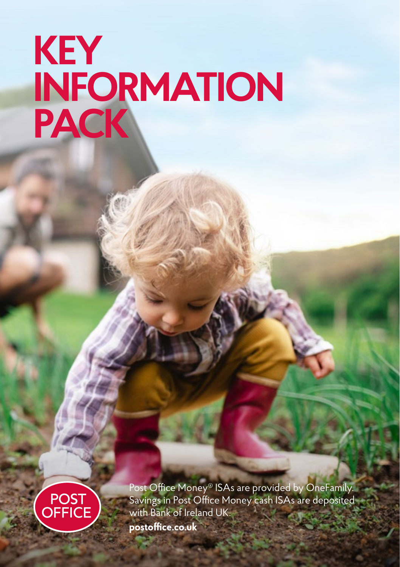# **KEY INFORMATION PACK**



Post Office Money® ISAs are provided by OneFamily. Savings in Post Office Money cash ISAs are deposited with Bank of Ireland UK. **postoffice.co.uk**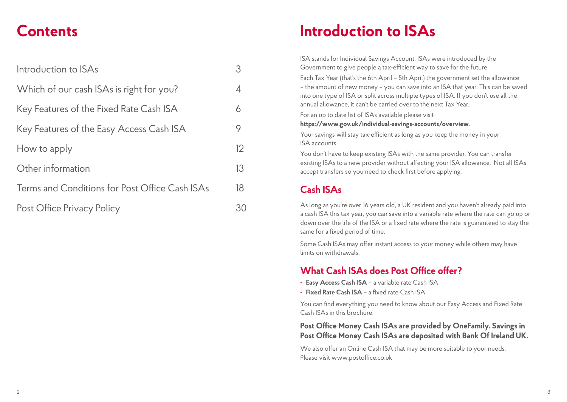## **Contents**

| Introduction to ISAs                           | 3  |
|------------------------------------------------|----|
| Which of our cash ISAs is right for you?       | 4  |
| Key Features of the Fixed Rate Cash ISA        | 6  |
| Key Features of the Easy Access Cash ISA       | 9  |
| How to apply                                   | 12 |
| Other information                              | 13 |
| Terms and Conditions for Post Office Cash ISAs | 18 |
| Post Office Privacy Policy                     |    |

## **Introduction to ISAs**

ISA stands for Individual Savings Account. ISAs were introduced by the Government to give people a tax-efficient way to save for the future.

Each Tax Year (that's the 6th April – 5th April) the government set the allowance – the amount of new money – you can save into an ISA that year. This can be saved into one type of ISA or split across multiple types of ISA. If you don't use all the annual allowance, it can't be carried over to the next Tax Year.

For an up to date list of ISAs available please visit

#### **https://www.gov.uk/individual-savings-accounts/overview.**

Your savings will stay tax-efficient as long as you keep the money in your ISA accounts.

You don't have to keep existing ISAs with the same provider. You can transfer existing ISAs to a new provider without affecting your ISA allowance. Not all ISAs accept transfers so you need to check first before applying.

### **Cash ISAs**

As long as you're over 16 years old, a UK resident and you haven't already paid into a cash ISA this tax year, you can save into a variable rate where the rate can go up or down over the life of the ISA or a fixed rate where the rate is guaranteed to stay the same for a fixed period of time.

Some Cash ISAs may offer instant access to your money while others may have limits on withdrawals.

### **What Cash ISAs does Post Office offer?**

- **• Easy Access Cash ISA** a variable rate Cash ISA
- **• Fixed Rate Cash ISA** a fixed rate Cash ISA

You can find everything you need to know about our Easy Access and Fixed Rate Cash ISAs in this brochure.

### **Post Office Money Cash ISAs are provided by OneFamily. Savings in Post Office Money Cash ISAs are deposited with Bank Of Ireland UK.**

We also offer an Online Cash ISA that may be more suitable to your needs. Please visit www.postoffice.co.uk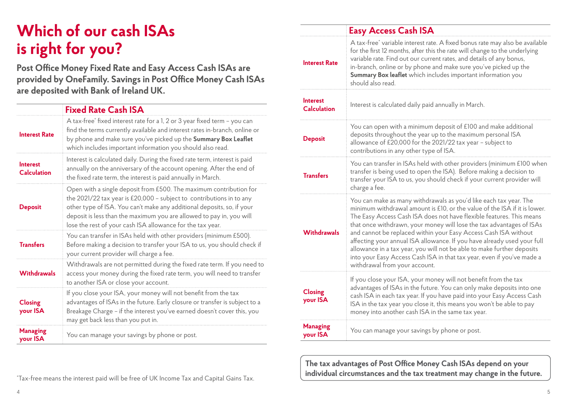## **Which of our cash ISAs is right for you?**

**Post Office Money Fixed Rate and Easy Access Cash ISAs are provided by OneFamily. Savings in Post Office Money Cash ISAs are deposited with Bank of Ireland UK.**

|                                       | <b>Fixed Rate Cash ISA</b>                                                                                                                                                                                                                                                                                                                                 |
|---------------------------------------|------------------------------------------------------------------------------------------------------------------------------------------------------------------------------------------------------------------------------------------------------------------------------------------------------------------------------------------------------------|
| <b>Interest Rate</b>                  | A tax-free <sup>*</sup> fixed interest rate for a 1, 2 or 3 year fixed term - you can<br>find the terms currently available and interest rates in-branch, online or<br>by phone and make sure you've picked up the Summary Box Leaflet<br>which includes important information you should also read.                                                       |
| <b>Interest</b><br><b>Calculation</b> | Interest is calculated daily. During the fixed rate term, interest is paid<br>annually on the anniversary of the account opening. After the end of<br>the fixed rate term, the interest is paid annually in March.                                                                                                                                         |
| <b>Deposit</b>                        | Open with a single deposit from £500. The maximum contribution for<br>the 2021/22 tax year is £20,000 - subject to contributions in to any<br>other type of ISA. You can't make any additional deposits, so, if your<br>deposit is less than the maximum you are allowed to pay in, you will<br>lose the rest of your cash ISA allowance for the tax year. |
| <b>Transfers</b>                      | You can transfer in ISAs held with other providers (minimum £500).<br>Before making a decision to transfer your ISA to us, you should check if<br>your current provider will charge a fee.                                                                                                                                                                 |
| <b>Withdrawals</b>                    | Withdrawals are not permitted during the fixed rate term. If you need to<br>access your money during the fixed rate term, you will need to transfer<br>to another ISA or close your account.                                                                                                                                                               |
| <b>Closing</b><br>your ISA            | If you close your ISA, your money will not benefit from the tax<br>advantages of ISAs in the future. Early closure or transfer is subject to a<br>Breakage Charge - if the interest you've earned doesn't cover this, you<br>may get back less than you put in.                                                                                            |
| <b>Managing</b><br>your ISA           | You can manage your savings by phone or post.                                                                                                                                                                                                                                                                                                              |

|                                       | <b>Easy Access Cash ISA</b>                                                                                                                                                                                                                                                                                                                                                                                                                                                                                                                                                                                                       |  |
|---------------------------------------|-----------------------------------------------------------------------------------------------------------------------------------------------------------------------------------------------------------------------------------------------------------------------------------------------------------------------------------------------------------------------------------------------------------------------------------------------------------------------------------------------------------------------------------------------------------------------------------------------------------------------------------|--|
| <b>Interest Rate</b>                  | A tax-free <sup>*</sup> variable interest rate. A fixed bonus rate may also be available<br>for the first 12 months, after this the rate will change to the underlying<br>variable rate. Find out our current rates, and details of any bonus,<br>in-branch, online or by phone and make sure you've picked up the<br>Summary Box leaflet which includes important information you<br>should also read.                                                                                                                                                                                                                           |  |
| <b>Interest</b><br><b>Calculation</b> | Interest is calculated daily paid annually in March.                                                                                                                                                                                                                                                                                                                                                                                                                                                                                                                                                                              |  |
| <b>Deposit</b>                        | You can open with a minimum deposit of £100 and make additional<br>deposits throughout the year up to the maximum personal ISA<br>allowance of £20,000 for the 2021/22 tax year - subject to<br>contributions in any other type of ISA.                                                                                                                                                                                                                                                                                                                                                                                           |  |
| <b>Transfers</b>                      | You can transfer in ISAs held with other providers (minimum £100 when<br>transfer is being used to open the ISA). Before making a decision to<br>transfer your ISA to us, you should check if your current provider will<br>charge a fee.                                                                                                                                                                                                                                                                                                                                                                                         |  |
| <b>Withdrawals</b>                    | You can make as many withdrawals as you'd like each tax year. The<br>minimum withdrawal amount is £10, or the value of the ISA if it is lower.<br>The Easy Access Cash ISA does not have flexible features. This means<br>that once withdrawn, your money will lose the tax advantages of ISAs<br>and cannot be replaced within your Easy Access Cash ISA without<br>affecting your annual ISA allowance. If you have already used your full<br>allowance in a tax year, you will not be able to make further deposits<br>into your Easy Access Cash ISA in that tax year, even if you've made a<br>withdrawal from your account. |  |
| <b>Closing</b><br>your ISA            | If you close your ISA, your money will not benefit from the tax<br>advantages of ISAs in the future. You can only make deposits into one<br>cash ISA in each tax year. If you have paid into your Easy Access Cash<br>ISA in the tax year you close it, this means you won't be able to pay<br>money into another cash ISA in the same tax year.                                                                                                                                                                                                                                                                                  |  |
| <b>Managing</b><br>your ISA           | You can manage your savings by phone or post.                                                                                                                                                                                                                                                                                                                                                                                                                                                                                                                                                                                     |  |

**The tax advantages of Post Office Money Cash ISAs depend on your individual circumstances and the tax treatment may change in the future.**

\* Tax-free means the interest paid will be free of UK Income Tax and Capital Gains Tax.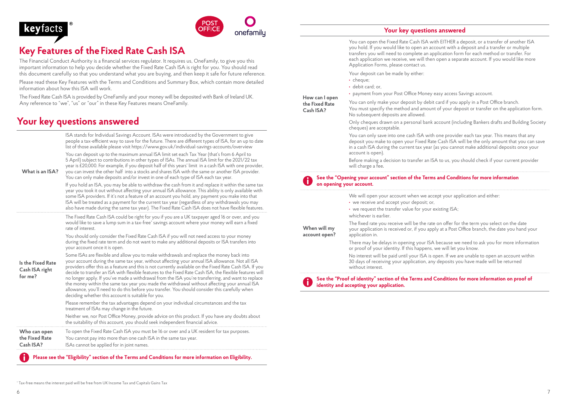### **keyfacts**



### **Key Features of the Fixed Rate Cash ISA**

The Financial Conduct Authority is a financial services regulator. It requires us, OneFamily, to give you this important information to help you decide whether the Fixed Rate Cash ISA is right for you. You should read this document carefully so that you understand what you are buying, and then keep it safe for future reference.

Please read these Key Features with the Terms and Conditions and Summary Box, which contain more detailed information about how this ISA will work.

The Fixed Rate Cash ISA is provided by OneFamily and your money will be deposited with Bank of Ireland UK. Any reference to "we", "us" or "our" in these Key Features means OneFamily.

### **Your key questions answered**

|                                                | ISA stands for Individual Savings Account. ISAs were introduced by the Government to give<br>people a tax-efficient way to save for the future. There are different types of ISA, for an up to date<br>list of those available please visit https://www.gov.uk/individual-savings-accounts/overview                                                                                                                                                                                                                                                                                                                                                                                                                                                                              |
|------------------------------------------------|----------------------------------------------------------------------------------------------------------------------------------------------------------------------------------------------------------------------------------------------------------------------------------------------------------------------------------------------------------------------------------------------------------------------------------------------------------------------------------------------------------------------------------------------------------------------------------------------------------------------------------------------------------------------------------------------------------------------------------------------------------------------------------|
| What is an ISA?                                | You can deposit up to the maximum annual ISA limit set each Tax Year (that's from 6 April to<br>5 April) subject to contributions in other types of ISAs. The annual ISA limit for the 2021/22 tax<br>year is £20,000. For example, if you deposit half of this years' limit in a cash ISA with one provider,<br>you can invest the other half into a stocks and shares ISA with the same or another ISA provider.<br>You can only make deposits and/or invest in one of each type of ISA each tax year.                                                                                                                                                                                                                                                                         |
|                                                | If you hold an ISA, you may be able to withdraw the cash from it and replace it within the same tax<br>year you took it out without affecting your annual ISA allowance. This ability is only available with<br>some ISA providers. If it's not a feature of an account you hold, any payment you make into that<br>ISA will be treated as a payment for the current tax year (regardless of any withdrawals you may<br>also have made during the same tax year). The Fixed Rate Cash ISA does not have flexible features.                                                                                                                                                                                                                                                       |
|                                                | The Fixed Rate Cash ISA could be right for you if you are a UK taxpayer aged 16 or over, and you<br>would like to save a lump sum in a tax-free <sup>*</sup> savings account where your money will earn a fixed<br>rate of interest.                                                                                                                                                                                                                                                                                                                                                                                                                                                                                                                                             |
|                                                | You should only consider the Fixed Rate Cash ISA if you will not need access to your money<br>during the fixed rate term and do not want to make any additional deposits or ISA transfers into<br>your account once it is open.                                                                                                                                                                                                                                                                                                                                                                                                                                                                                                                                                  |
| Is the Fixed Rate<br>Cash ISA right<br>for me? | Some ISAs are flexible and allow you to make withdrawals and replace the money back into<br>your account during the same tax year, without affecting your annual ISA allowance. Not all ISA<br>providers offer this as a feature and this is not currently available on the Fixed Rate Cash ISA. If you<br>decide to transfer an ISA with flexible features to the Fixed Rate Cash ISA, the flexible features will<br>no longer apply. If you've made a withdrawal from the ISA you're transferring, and want to replace<br>the money within the same tax year you made the withdrawal without affecting your annual ISA<br>allowance, you'll need to do this before you transfer. You should consider this carefully when<br>deciding whether this account is suitable for you. |
|                                                | Please remember the tax advantages depend on your individual circumstances and the tax<br>treatment of ISAs may change in the future.                                                                                                                                                                                                                                                                                                                                                                                                                                                                                                                                                                                                                                            |
|                                                | Neither we, nor Post Office Money, provide advice on this product. If you have any doubts about<br>the suitability of this account, you should seek independent financial advice.                                                                                                                                                                                                                                                                                                                                                                                                                                                                                                                                                                                                |
| Who can open                                   | To open the Fixed Rate Cash ISA you must be 16 or over and a UK resident for tax purposes.                                                                                                                                                                                                                                                                                                                                                                                                                                                                                                                                                                                                                                                                                       |
| the Fixed Rate<br>Cash ISA?                    | You cannot pay into more than one cash ISA in the same tax year.<br>ISAs cannot be applied for in joint names.                                                                                                                                                                                                                                                                                                                                                                                                                                                                                                                                                                                                                                                                   |

#### **Your key questions answered**

You can open the Fixed Rate Cash ISA with EITHER a deposit, or a transfer of another ISA you hold. If you would like to open an account with a deposit and a transfer or multiple transfers you will need to complete an application form for each method or transfer. For each application we receive, we will then open a separate account. If you would like more Application Forms, please contact us.

Your deposit can be made by either:

**•** cheque;

**How can I open the Fixed Rate Cash ISA?**

- **•** debit card; or,
- **•** payment from your Post Office Money easy access Savings account.

You can only make your deposit by debit card if you apply in a Post Office branch.

You must specify the method and amount of your deposit or transfer on the application form. No subsequent deposits are allowed.

Only cheques drawn on a personal bank account (including Bankers drafts and Building Society cheques) are acceptable.

You can only save into one cash ISA with one provider each tax year. This means that any deposit you make to open your Fixed Rate Cash ISA will be the only amount that you can save in a cash ISA during the current tax year (as you cannot make additional deposits once your account is open).

Before making a decision to transfer an ISA to us, you should check if your current provider will charge a fee.

#### **See the "Opening your account" section of the Terms and Conditions for more information on opening your account.**

| When will my<br>account open? | We will open your account when we accept your application and either:<br>• we receive and accept your deposit; or,<br>• we request the transfer value for your existing ISA;<br>whichever is earlier.        |
|-------------------------------|--------------------------------------------------------------------------------------------------------------------------------------------------------------------------------------------------------------|
|                               | The fixed rate you receive will be the rate on offer for the term you select on the date<br>your application is received or, if you apply at a Post Office branch, the date you hand your<br>application in. |
|                               | There may be delays in opening your ISA because we need to ask you for more information<br>or proof of your identity. If this happens, we will let you know.                                                 |
|                               | No interest will be paid until your ISA is open. If we are unable to open an account within<br>30 days of receiving your application, any deposits you have made will be returned<br>without interest.       |

 **See the "Proof of identity" section of the Terms and Conditions for more information on proof of identity and accepting your application.**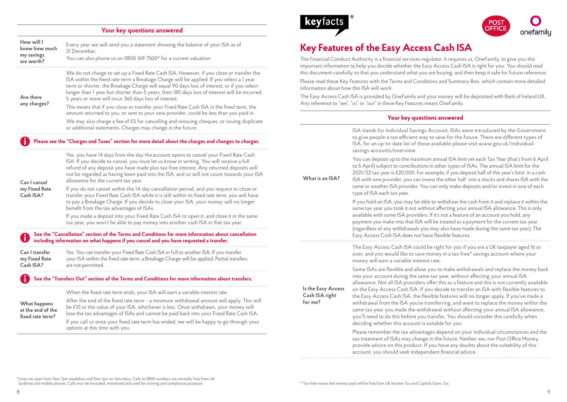#### **Your key questions answered**

| How will I<br>know how much<br>my savings<br>are worth? | Every year we will send you a statement showing the balance of your ISA as of<br>31 December.<br>You can also phone us on 0800 169 7500* for a current valuation.                                                                                                                                                                                                                                                                           | <b>Key Featur</b><br>The Financial Cond<br>important informati                         |  |
|---------------------------------------------------------|---------------------------------------------------------------------------------------------------------------------------------------------------------------------------------------------------------------------------------------------------------------------------------------------------------------------------------------------------------------------------------------------------------------------------------------------|----------------------------------------------------------------------------------------|--|
| Are there                                               | We do not charge to set up a Fixed Rate Cash ISA. However, if you close or transfer the<br>ISA within the fixed rate term a Breakage Charge will be applied. If you select a 1 year<br>term or shorter, the Breakage Charge will equal 90 days loss of interest, or if you select<br>longer than 1 year but shorter than 5 years, then 180 days loss of interest will be incurred.<br>5 years or more will incur 365 days loss of interest. | this document care<br>Please read these K<br>information about ŀ<br>The Easy Access Ca |  |
| any charges?                                            | This means that if you close or transfer your Fixed Rate Cash ISA in the fixed term, the<br>amount returned to you, or sent to your new provider, could be less than you paid in.                                                                                                                                                                                                                                                           | Any reference to "w                                                                    |  |
|                                                         | We may also charge a fee of £5 for cancelling and reissuing cheques, or issuing duplicate<br>or additional statements. Charges may change in the future.                                                                                                                                                                                                                                                                                    |                                                                                        |  |
|                                                         | Please see the "Charges and Taxes" section for more detail about the charges and changes to charges.                                                                                                                                                                                                                                                                                                                                        |                                                                                        |  |
| Can I cancel<br>my Fixed Rate<br>Cash ISA?              | Yes, you have 14 days from the day the account opens to cancel your Fixed Rate Cash<br>ISA. If you decide to cancel, you must let us know in writing. You will receive a full<br>refund of any deposit you have made plus tax-free interest. Any returned deposits will<br>not be regarded as having been paid into the ISA, and so will not count towards your ISA<br>allowance for the current tax year.                                  | What is an ISA?                                                                        |  |
|                                                         | If you do not cancel within the 14-day cancellation period, and you request to close or<br>transfer your Fixed Rate Cash ISA while it is still within its fixed rate term, you will have<br>to pay a Breakage Charge. If you decide to close your ISA, your money will no longer<br>benefit from the tax advantages of ISAs.                                                                                                                |                                                                                        |  |
|                                                         | If you made a deposit into your Fixed Rate Cash ISA to open it, and close it in the same<br>tax year, you won't be able to pay money into another cash ISA in that tax year.                                                                                                                                                                                                                                                                |                                                                                        |  |
|                                                         | See the "Cancellation" section of the Terms and Conditions for more information about cancellation<br>including information on what happens if you cancel and you have requested a transfer.                                                                                                                                                                                                                                                |                                                                                        |  |
| Can I transfer<br>my Fixed Rate<br>Cash ISA?            | Yes. You can transfer your Fixed Rate Cash ISA in full to another ISA. If you transfer<br>your ISA within the fixed rate term, a Breakage Charge will be applied. Partial transfers<br>are not permitted.                                                                                                                                                                                                                                   |                                                                                        |  |
|                                                         | See the "Transfers Out" section of the Terms and Conditions for more information about transfers.                                                                                                                                                                                                                                                                                                                                           |                                                                                        |  |
|                                                         | When the fixed rate term ends, your ISA will earn a variable interest rate.                                                                                                                                                                                                                                                                                                                                                                 | Is the Easy Access<br>Cash ISA right                                                   |  |
| What happens<br>at the end of the<br>fixed rate term?   | After the end of the fixed rate term - a minimum withdrawal amount will apply. This will<br>be £10 or the value of your ISA, whichever is less. Once withdrawn, your money will<br>lose the tax advantages of ISAs and cannot be paid back into your Fixed Rate Cash ISA.                                                                                                                                                                   | for me?                                                                                |  |
|                                                         | If you call us once your fixed rate term has ended, we will be happy to go through your<br>options at this time with you.                                                                                                                                                                                                                                                                                                                   |                                                                                        |  |





### **Key of the Easy Access Cash ISA**

.<br>The Financial SoneFamily, to give the Suthority is a financial service us, OneFamily, to give you this due to ion to help you decide whether the Easy Access Cash ISA is right for you. You should read efully so that you understand what you are buying, and then keep it safe for future reference.

Cey Features with the Terms and Conditions and Summary Box, which contain more detailed  $h$ ow this ISA will work.

ash ISA is provided by OneFamily and your money will be deposited with Bank of Ireland UK. ve", "us" or "our" in these Key Features means OneFamily.

#### **Your key questions answered**

|                                                 | ISA stands for Individual Savings Account. ISAs were introduced by the Government<br>to give people a tax-efficient way to save for the future. There are different types of<br>ISA, for an up-to-date list of those available please visit www.gov.uk/individual-<br>savings-accounts/overview                                                                                                                                                                                                                                                                                                                                                                                                                                                                                       |
|-------------------------------------------------|---------------------------------------------------------------------------------------------------------------------------------------------------------------------------------------------------------------------------------------------------------------------------------------------------------------------------------------------------------------------------------------------------------------------------------------------------------------------------------------------------------------------------------------------------------------------------------------------------------------------------------------------------------------------------------------------------------------------------------------------------------------------------------------|
| What is an ISA?                                 | You can deposit up to the maximum annual ISA limit set each Tax Year (that's from 6 April<br>to 5 April) subject to contributions in other types of ISAs. The annual ISA limit for the<br>2021/22 tax year is £20,000. For example, if you deposit half of this year's limit in a cash<br>ISA with one provider, you can invest the other half into a stocks and shares ISA with the<br>same or another ISA provider. You can only make deposits and/or invest in one of each<br>type of ISA each tax year.                                                                                                                                                                                                                                                                           |
|                                                 | If you hold an ISA, you may be able to withdraw the cash from it and replace it within the<br>same tax year you took it out without affecting your annual ISA allowance. This is only<br>available with some ISA providers. If it's not a feature of an account you hold, any<br>payment you make into that ISA will be treated as a payment for the current tax year<br>(regardless of any withdrawals you may also have made during the same tax year). The<br>Easy Access Cash ISA does not have flexible features.                                                                                                                                                                                                                                                                |
|                                                 | The Easy Access Cash ISA could be right for you if you are a UK taxpayer aged 16 or<br>over, and you would like to save money in a tax-free* savings account where your<br>money will earn a variable interest rate.                                                                                                                                                                                                                                                                                                                                                                                                                                                                                                                                                                  |
| Is the Easy Access<br>Cash ISA right<br>for me? | Some ISAs are flexible and allow you to make withdrawals and replace the money back<br>into your account during the same tax year, without affecting your annual ISA<br>allowance. Not all ISA providers offer this as a feature and this is not currently available<br>on the Easy Access Cash ISA. If you decide to transfer an ISA with flexible features to<br>the Easy Access Cash ISA, the flexible features will no longer apply. If you've made a<br>withdrawal from the ISA you're transferring, and want to replace the money within the<br>same tax year you made the withdrawal without affecting your annual ISA allowance,<br>you'll need to do this before you transfer. You should consider this carefully when<br>deciding whether this account is suitable for you. |
|                                                 | Please remember the tax advantages depend on your individual circumstances and the<br>tax treatment of ISAs may change in the future. Neither we, nor Post Office Money,<br>provide advice on this product. If you have any doubts about the suitability of this<br>account, you should seek independent financial advice.                                                                                                                                                                                                                                                                                                                                                                                                                                                            |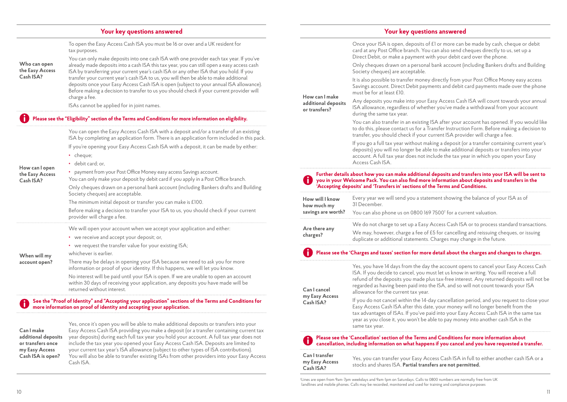#### **Your key questions answered**

To open the Easy Access Cash ISA you must be 16 or over and a UK resident for tax purposes.

#### **Who can open the Easy Access Cash ISA?**

already made deposits into a cash ISA this tax year, you can still open a easy access cash ISA by transferring your current year's cash ISA or any other ISA that you hold. If you transfer your current year's cash ISA to us, you will then be able to make additional deposits once your Easy Access Cash ISA is open (subject to your annual ISA allowance). Before making a decision to transfer to us you should check if your current provider will charge a fee.

You can only make deposits into one cash ISA with one provider each tax year. If you've

ISAs cannot be applied for in joint names.

#### **Please see the "Eligibility" section of the Terms and Conditions for more information on eligibility.**

**How can I open the Easy Access Cash ISA?** You can open the Easy Access Cash ISA with a deposit and/or a transfer of an existing ISA by completing an application form. There is an application form included in this pack. If you're opening your Easy Access Cash ISA with a deposit, it can be made by either: • cheque: **•** debit card; or, **•** payment from your Post Office Money easy access Savings account. You can only make your deposit by debit card if you apply in a Post Office branch. Only cheques drawn on a personal bank account (including Bankers drafts and Building Society cheques) are acceptable. The minimum initial deposit or transfer you can make is £100. Before making a decision to transfer your ISA to us, you should check if your current provider will charge a fee. **When will my account open?** We will open your account when we accept your application and either: **•** we receive and accept your deposit; or, **•** we request the transfer value for your existing ISA; whichever is earlier. There may be delays in opening your ISA because we need to ask you for more information or proof of your identity. If this happens, we will let you know. No interest will be paid until your ISA is open. If we are unable to open an account within 30 days of receiving your application, any deposits you have made will be returned without interest. **See the "Proof of Identity" and "Accepting your application" sections of the Terms and Conditions for more information on proof of identity and accepting your application.**

**Can I make additional deposits or transfers once my Easy Access Cash ISA is open?**

Yes, once it's open you will be able to make additional deposits or transfers into your Easy Access Cash ISA providing you make a deposit (or a transfer containing current tax year deposits) during each full tax year you hold your account. A full tax year does not include the tax year you opened your Easy Access Cash ISA. Deposits are limited to your current tax year's ISA allowance (subject to other types of ISA contributions). You will also be able to transfer existing ISAs from other providers into your Easy Access Cash ISA.

#### **Your key questions answered**

Once your ISA is open, deposits of £1 or more can be made by cash, cheque or debit

|                                                        | card at any Post Office branch. You can also send cheques directly to us, set up a<br>Direct Debit, or make a payment with your debit card over the phone.                                                                                                                                                                                                                                              |
|--------------------------------------------------------|---------------------------------------------------------------------------------------------------------------------------------------------------------------------------------------------------------------------------------------------------------------------------------------------------------------------------------------------------------------------------------------------------------|
| How can I make<br>additional deposits<br>or transfers? | Only cheques drawn on a personal bank account (including Bankers drafts and Building<br>Society cheques) are acceptable.                                                                                                                                                                                                                                                                                |
|                                                        | It is also possible to transfer money directly from your Post Office Money easy access<br>Savings account. Direct Debit payments and debit card payments made over the phone<br>must be for at least £10.                                                                                                                                                                                               |
|                                                        | Any deposits you make into your Easy Access Cash ISA will count towards your annual<br>ISA allowance, regardless of whether you've made a withdrawal from your account<br>during the same tax year.                                                                                                                                                                                                     |
|                                                        | You can also transfer in an existing ISA after your account has opened. If you would like<br>to do this, please contact us for a Transfer Instruction Form. Before making a decision to<br>transfer, you should check if your current ISA provider will charge a fee.                                                                                                                                   |
|                                                        | If you go a full tax year without making a deposit (or a transfer containing current year's<br>deposits) you will no longer be able to make additional deposits or transfers into your<br>account. A full tax year does not include the tax year in which you open your Easy<br>Access Cash ISA.                                                                                                        |
|                                                        | Further details about how you can make additional deposits and transfers into your ISA will be sent to<br>you in your Welcome Pack. You can also find more information about deposits and transfers in the<br>'Accepting deposits' and 'Transfers in' sections of the Terms and Conditions.                                                                                                             |
| How will I know<br>how much my                         | Every year we will send you a statement showing the balance of your ISA as of<br>31 December.                                                                                                                                                                                                                                                                                                           |
| savings are worth?                                     | You can also phone us on 0800 169 7500 <sup>†</sup> for a current valuation.                                                                                                                                                                                                                                                                                                                            |
| Are there any                                          | We do not charge to set up a Easy Access Cash ISA or to process standard transactions.                                                                                                                                                                                                                                                                                                                  |
| charges?                                               | We may, however, charge a fee of £5 for cancelling and reissuing cheques, or issuing<br>duplicate or additional statements. Charges may change in the future.                                                                                                                                                                                                                                           |
|                                                        | Please see the 'Charges and taxes' section for more detail about the charges and changes to charges.                                                                                                                                                                                                                                                                                                    |
| Can I cancel                                           | Yes, you have 14 days from the day the account opens to cancel your Easy Access Cash<br>ISA. If you decide to cancel, you must let us know in writing. You will receive a full<br>refund of the deposits you made plus tax-free interest. Any returned deposits will not be<br>regarded as having been paid into the ISA, and so will not count towards your ISA<br>allowance for the current tax year. |
| my Easy Access<br>Cash ISA?                            | If you do not cancel within the 14-day cancellation period, and you request to close your<br>Easy Access Cash ISA after this date, your money will no longer benefit from the<br>tax advantages of ISAs. If you've paid into your Easy Access Cash ISA in the same tax<br>year as you close it, you won't be able to pay money into another cash ISA in the<br>same tax year.                           |
|                                                        | Please see the 'Cancellation' section of the Terms and Conditions for more information about<br>cancellation, including information on what happens if you cancel and you have requested a transfer.                                                                                                                                                                                                    |
|                                                        |                                                                                                                                                                                                                                                                                                                                                                                                         |

† Lines are open from 9am-7pm weekdays and 9am-1pm on Saturdays. Calls to 0800 numbers are normally free from UK landlines and mobile phones. Calls may be recorded, monitored and used for training and compliance purposes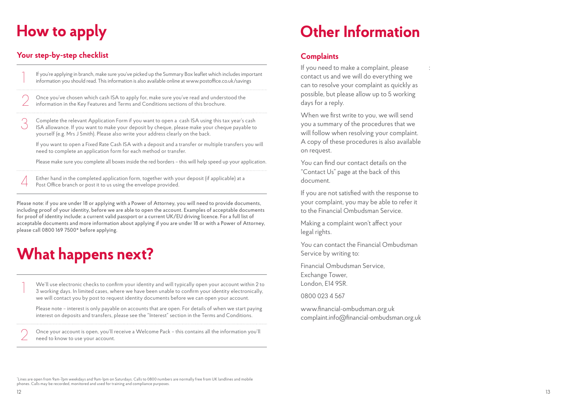## **How to apply**

### **Your step-by-step checklist**

If you're applying in branch, make sure you've picked up the Summary Box leaflet which includes important information you should read. This information is also available online at www.postoffice.co.uk/savings 2 Once you've chosen which cash ISA to apply for, make sure you've read and understood the information in the Key Features and Terms and Conditions sections of this brochure. 3 Complete the relevant Application Form if you want to open a cash ISA using this tax year's cash ISA allowance. If you want to make your deposit by cheque, please make your cheque payable to yourself (e.g. Mrs J Smith). Please also write your address clearly on the back.

 If you want to open a Fixed Rate Cash ISA with a deposit and a transfer or multiple transfers you will need to complete an application form for each method or transfer.

Please make sure you complete all boxes inside the red borders – this will help speed up your application.

Either hand in the completed application form, together with your deposit (if applicable) at a Post Office branch or post it to us using the envelope provided.

Please note: if you are under 18 or applying with a Power of Attorney, you will need to provide documents, including proof of your identity, before we are able to open the account. Examples of acceptable documents for proof of identity include: a current valid passport or a current UK/EU driving licence. For a full list of acceptable documents and more information about applying if you are under 18 or with a Power of Attorney, please call 0800 169 7500\* before applying.

# **What happens next?**

We'll use electronic checks to confirm your identity and will typically open your account within 2 to 3 working days. In limited cases, where we have been unable to confirm your identity electronically, we will contact you by post to request identity documents before we can open your account.

 Please note – interest is only payable on accounts that are open. For details of when we start paying interest on deposits and transfers, please see the "Interest" section in the Terms and Conditions.

2 Once your account is open, you'll receive a Welcome Pack – this contains all the information you'll need to know to use your account.

## **Other Information**

### **Complaints**

If you need to make a complaint, please contact us and we will do everything we can to resolve your complaint as quickly as possible, but please allow up to 5 working days for a reply.

:

When we first write to you, we will send you a summary of the procedures that we will follow when resolving your complaint. A copy of these procedures is also available on request.

You can find our contact details on the "Contact Us" page at the back of this document.

If you are not satisfied with the response to your complaint, you may be able to refer it to the Financial Ombudsman Service.

Making a complaint won't affect your legal rights.

You can contact the Financial Ombudsman Service by writing to:

Financial Ombudsman Service, Exchange Tower, London, E14 9SR.

0800 023 4 567

www.financial-ombudsman.org.uk complaint.info@financial-ombudsman.org.uk

\* Lines are open from 9am-7pm weekdays and 9am-1pm on Saturdays. Calls to 0800 numbers are normally free from UK landlines and mobile phones. Calls may be recorded, monitored and used for training and compliance purposes.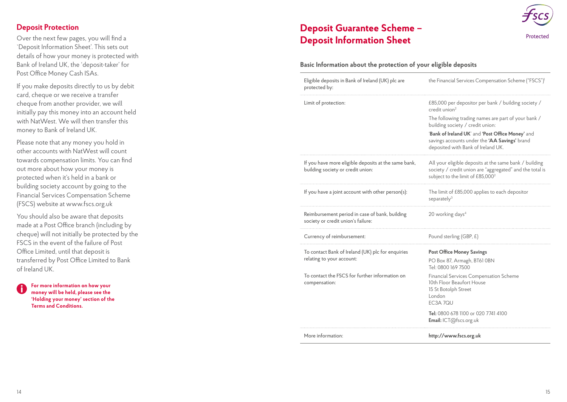### **Deposit Protection**

Over the next few pages, you will find a `Deposit Information Sheet'. This sets out details of how your money is protected with Bank of Ireland UK, the 'deposit-taker' for Post Office Money Cash ISAs.

If you make deposits directly to us by debit card, cheque or we receive a transfer cheque from another provider, we will initially pay this money into an account held with NatWest. We will then transfer this money to Bank of Ireland UK.

Please note that any money you hold in other accounts with NatWest will count towards compensation limits. You can find out more about how your money is protected when it's held in a bank or building society account by going to the Financial Services Compensation Scheme (FSCS) website at www.fscs.org.uk

You should also be aware that deposits made at a Post Office branch (including by cheque) will not initially be protected by the FSCS in the event of the failure of Post Office Limited, until that deposit is transferred by Post Office Limited to Bank of Ireland UK.

**For more information on how your money will be held, please see the 'Holding your money' section of the Terms and Conditions.**

### **Deposit Guarantee Scheme – Deposit Information Sheet**



#### **Basic Information about the protection of your eligible deposits**

| Eligible deposits in Bank of Ireland (UK) plc are<br>protected by:                        | the Financial Services Compensation Scheme ("FSCS")1                                                                                                               |
|-------------------------------------------------------------------------------------------|--------------------------------------------------------------------------------------------------------------------------------------------------------------------|
| Limit of protection:                                                                      | £85,000 per depositor per bank / building society /<br>credit union <sup>2</sup>                                                                                   |
|                                                                                           | The following trading names are part of your bank /<br>building society / credit union:                                                                            |
|                                                                                           | 'Bank of Ireland UK' and 'Post Office Money' and<br>savings accounts under the 'AA Savings' brand<br>deposited with Bank of Ireland UK.                            |
| If you have more eligible deposits at the same bank,<br>building society or credit union: | All your eligible deposits at the same bank / building<br>society / credit union are "aggregated" and the total is<br>subject to the limit of £85,000 <sup>2</sup> |
| If you have a joint account with other person(s):                                         | The limit of £85,000 applies to each depositor<br>separately <sup>3</sup>                                                                                          |
| Reimbursement period in case of bank, building<br>society or credit union's failure:      | 20 working days <sup>4</sup>                                                                                                                                       |
| Currency of reimbursement:                                                                | Pound sterling (GBP, £)                                                                                                                                            |
| To contact Bank of Ireland (UK) plc for enquiries                                         | <b>Post Office Money Savings</b>                                                                                                                                   |
| relating to your account:                                                                 | PO Box 87, Armagh, BT61 0BN<br>Tel: 0800 169 7500                                                                                                                  |
| To contact the FSCS for further information on<br>compensation:                           | Financial Services Compensation Scheme<br>10th Floor Beaufort House<br>15 St Botolph Street<br>London<br>EC3A 7QU                                                  |
|                                                                                           | Tel: 0800 678 1100 or 020 7741 4100<br>Email: ICT@fscs.org.uk                                                                                                      |
| More information:                                                                         | http://www.fscs.org.uk                                                                                                                                             |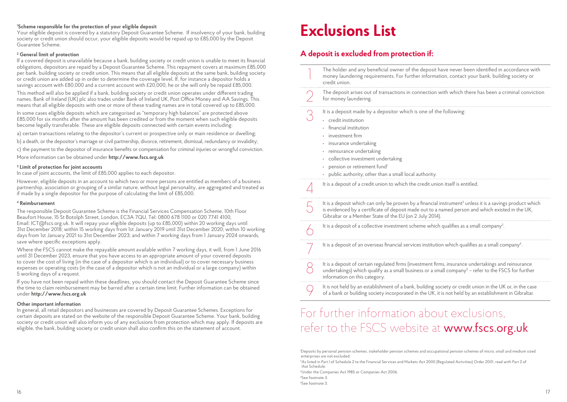#### **1 Scheme responsible for the protection of your eligible deposit**

Your eligible deposit is covered by a statutory Deposit Guarantee Scheme. If insolvency of your bank, building society or credit union should occur, your eligible deposits would be repaid up to £85,000 by the Deposit Guarantee Scheme.

#### **2 General limit of protection**

If a covered deposit is unavailable because a bank, building society or credit union is unable to meet its financial obligations, depositors are repaid by a Deposit Guarantee Scheme. This repayment covers at maximum £85,000 per bank, building society or credit union. This means that all eligible deposits at the same bank, building society or credit union are added up in order to determine the coverage level. If, for instance a depositor holds a savings account with £80,000 and a current account with £20,000, he or she will only be repaid £85,000.

This method will also be applied if a bank, building society or credit union operates under different trading names. Bank of Ireland (UK) plc also trades under Bank of Ireland UK, Post Office Money and AA Savings. This means that all eligible deposits with one or more of these trading names are in total covered up to £85,000.

In some cases eligible deposits which are categorised as "temporary high balances" are protected above £85,000 for six months after the amount has been credited or from the moment when such eligible deposits become legally transferable. These are eligible deposits connected with certain events including:

a) certain transactions relating to the depositor's current or prospective only or main residence or dwelling;

b) a death, or the depositor's marriage or civil partnership, divorce, retirement, dismissal, redundancy or invalidity;

c) the payment to the depositor of insurance benefits or compensation for criminal injuries or wrongful conviction.

More information can be obtained under **http://www.fscs.org.uk**

#### **3 Limit of protection for joint accounts**

In case of joint accounts, the limit of £85,000 applies to each depositor.

However, eligible deposits in an account to which two or more persons are entitled as members of a business partnership, association or grouping of a similar nature, without legal personality, are aggregated and treated as if made by a single depositor for the purpose of calculating the limit of £85,000.

#### **4 Reimbursement**

The responsible Deposit Guarantee Scheme is the Financial Services Compensation Scheme, 10th Floor Beaufort House, 15 St Botolph Street, London, EC3A 7QU, Tel: 0800 678 1100 or 020 7741 4100, Email: ICT@fscs.org.uk. It will repay your eligible deposits (up to £85,000) within 20 working days until 31st December 2018; within 15 working days from 1st January 2019 until 31st December 2020; within 10 working days from 1st January 2021 to 31st December 2023; and within 7 working days from 1 January 2024 onwards, save where specific exceptions apply.

Where the FSCS cannot make the repayable amount available within 7 working days, it will, from 1 June 2016 until 31 December 2023, ensure that you have access to an appropriate amount of your covered deposits to cover the cost of living (in the case of a depositor which is an individual) or to cover necessary business expenses or operating costs (in the case of a depositor which is not an individual or a large company) within 5 working days of a request.

If you have not been repaid within these deadlines, you should contact the Deposit Guarantee Scheme since the time to claim reimbursement may be barred after a certain time limit. Further information can be obtained under **http://www.fscs.org.uk**

#### **Other important information**

In general, all retail depositors and businesses are covered by Deposit Guarantee Schemes. Exceptions for certain deposits are stated on the website of the responsible Deposit Guarantee Scheme. Your bank, building society or credit union will also inform you of any exclusions from protection which may apply. If deposits are eligible, the bank, building society or credit union shall also confirm this on the statement of account.

## **Exclusions List**

#### **A deposit is excluded from protection if:**

| The holder and any beneficial owner of the deposit have never been identified in accordance with<br>money laundering requirements. For further information, contact your bank, building society or<br>credit union.                                                                                                                 |
|-------------------------------------------------------------------------------------------------------------------------------------------------------------------------------------------------------------------------------------------------------------------------------------------------------------------------------------|
| The deposit arises out of transactions in connection with which there has been a criminal conviction<br>for money laundering.                                                                                                                                                                                                       |
| It is a deposit made by a depositor which is one of the following:<br>· credit institution<br>financial institution<br>investment firm<br>insurance undertaking<br>reinsurance undertaking<br>collective investment undertaking<br>pension or retirement fund <sup>1</sup><br>public authority, other than a small local authority. |
| It is a deposit of a credit union to which the credit union itself is entitled.                                                                                                                                                                                                                                                     |
| It is a deposit which can only be proven by a financial instrument <sup>2</sup> unless it is a savings product which<br>is evidenced by a certificate of deposit made out to a named person and which existed in the UK,<br>Gibraltar or a Member State of the EU (on 2 July 2014).                                                 |
| It is a deposit of a collective investment scheme which qualifies as a small company <sup>3</sup> .                                                                                                                                                                                                                                 |
| It is a deposit of an overseas financial services institution which qualifies as a small company <sup>4</sup> .                                                                                                                                                                                                                     |
| It is a deposit of certain regulated firms (investment firms, insurance undertakings and reinsurance<br>undertakings) which qualify as a small business or a small company <sup>5</sup> – refer to the FSCS for further<br>information on this category.                                                                            |
| It is not held by an establishment of a bank, building society or credit union in the UK or, in the case<br>of a bank or building society incorporated in the UK, it is not held by an establishment in Gibraltar.                                                                                                                  |

## For further information about exclusions, refer to the FSCS website at www.fscs.org.uk

2 As listed in Part I of Schedule 2 to the Financial Services and Markets Act 2000 (Regulated Activities) Order 2001, read with Part 2 of that Schedule.

3 Under the Companies Act 1985 or Companies Act 2006.

4 See footnote 3.

5 See footnote 3.

<sup>1</sup> Deposits by personal pension schemes, stakeholder pension schemes and occupational pension schemes of micro, small and medium sized enterprises are not excluded.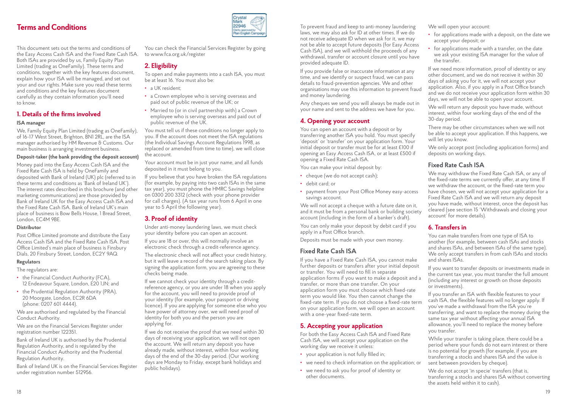This document sets out the terms and conditions of the Easy Access Cash ISA and the Fixed Rate Cash ISA. Both ISAs are provided by us, Family Equity Plan Limited (trading as OneFamily). These terms and conditions, together with the key features document, explain how your ISA will be managed, and set out your and our rights. Make sure you read these terms and conditions and the key features document carefully as they contain information you'll need to know.

#### **1. Details of the firms involved**

#### **ISA manager**

We, Family Equity Plan Limited (trading as OneFamily), of 16-17 West Street, Brighton, BN1 2RL, are the ISA manager authorised by HM Revenue & Customs. Our main business is arranging investment business.

#### **Deposit-taker (the bank providing the deposit account)**

Money paid into the Easy Access Cash ISA and the Fixed Rate Cash ISA is held by OneFamily and deposited with Bank of Ireland (UK) plc (referred to in these terms and conditions as 'Bank of Ireland UK'). The interest rates described in this brochure (and other marketing communications) are those provided by Bank of Ireland UK for the Easy Access Cash ISA and the Fixed Rate Cash ISA. Bank of Ireland UK's main place of business is Bow Bells House, 1 Bread Street, London, EC4M 9BE.

#### **Distributor**

Post Office Limited promote and distribute the Easy Access Cash ISA and the Fixed Rate Cash ISA. Post Office Limited's main place of business is Finsbury Dials, 20 Finsbury Street, London, EC2Y 9AQ.

#### **Regulators**

The regulators are:

- **•** the Financial Conduct Authority (FCA), 12 Endeavour Square, London, E20 1JN; and
- **•** the Prudential Regulation Authority (PRA), 20 Moorgate, London, EC2R 6DA (phone: 0207 601 4444).

We are authorised and regulated by the Financial Conduct Authority.

We are on the Financial Services Register under registration number 122351.

Bank of Ireland UK is authorised by the Prudential Regulation Authority, and is regulated by the Financial Conduct Authority and the Prudential Regulation Authority.

Bank of Ireland UK is on the Financial Services Register under registration number 512956.



You can check the Financial Services Register by going to www.fca.org.uk/register

#### **2. Eligibility**

To open and make payments into a cash ISA, you must be at least 16. You must also be:

- **•** a UK resident;
- **•** a Crown employee who is serving overseas and paid out of public revenue of the UK; or
- **•** Married to (or in civil partnership with) a Crown employee who is serving overseas and paid out of public revenue of the UK.

You must tell us if these conditions no longer apply to you. If the account does not meet the ISA regulations (the Individual Savings Account Regulations 1998, as replaced or amended from time to time), we will close the account.

Your account must be in just your name, and all funds deposited in it must belong to you.

If you believe that you have broken the ISA regulations (for example, by paying into two cash ISAs in the same tax year), you must phone the HMRC Savings helpline on 0300 200 3312 (check with your phone provider for call charges). (A tax year runs from 6 April in one year to 5 April the following year).

#### **3. Proof of identity**

Under anti-money laundering laws, we must check your identity before you can open an account.

If you are 18 or over, this will normally involve an electronic check through a credit-reference agency.

The electronic check will not affect your credit history, but it will leave a record of the search taking place. By signing the application form, you are agreeing to these checks being made.

If we cannot check your identity through a creditreference agency, or you are under 18 when you apply for the account, you will need to provide proof of your identity (for example, your passport or driving licence). If you are applying for someone else who you have power of attorney over, we will need proof of identity for both you and the person you are applying for.

If we do not receive the proof that we need within 30 days of receiving your application, we will not open the account. We will return any deposit you have already made, without interest, within four working days of the end of the 30-day period. (Our working days are Monday to Friday, except bank holidays and public holidays).

**Terms and Conditions**<br> **The Conditions** To prevent fraud and keep to anti-money laundering<br>
also ask for ID at other times. If we do laws, we may also ask for ID at other times. If we do not receive adequate ID when we ask for it, we may not be able to accept future deposits (for Easy Access Cash ISA), and we will withhold the proceeds of any withdrawal, transfer or account closure until you have provided adequate ID.

> If you provide false or inaccurate information at any time, and we identify or suspect fraud, we can pass details to fraud-prevention agencies. We and other organisations may use this information to prevent fraud and money laundering.

Any cheques we send you will always be made out in your name and sent to the address we have for you.

#### **4. Opening your account**

You can open an account with a deposit or by transferring another ISA you hold. You must specify 'deposit' or 'transfer' on your application form. Your initial deposit or transfer must be for at least £100 if opening an Easy Access Cash ISA, or at least £500 if opening a Fixed Rate Cash ISA.

You can make your initial deposit by:

- **•** cheque (we do not accept cash);
- **•** debit card; or
- **•** payment from your Post Office Money easy-access savings account.

We will not accept a cheque with a future date on it, and it must be from a personal bank or building society account (including in the form of a banker's draft).

You can only make your deposit by debit card if you apply in a Post Office branch.

Deposits must be made with your own money.

#### **Fixed Rate Cash ISA**

If you have a Fixed Rate Cash ISA, you cannot make further deposits or transfers after your initial deposit or transfer. You will need to fill in separate application forms if you want to make a deposit and a transfer, or more than one transfer. On your application form you must choose which fixed-rate term you would like. You then cannot change the fixed-rate term. If you do not choose a fixed-rate term on your application form, we will open an account with a one-year fixed-rate term.

#### **5. Accepting your application**

For both the Easy Access Cash ISA and Fixed Rate Cash ISA, we will accept your application on the working day we receive it unless:

- **•** your application is not fully filled in;
- **•** we need to check information on the application; or
- **•** we need to ask you for proof of identity or other documents.

We will open your account:

- **•** for applications made with a deposit, on the date we accept your deposit; or
- **•** for applications made with a transfer, on the date we ask your existing ISA manager for the value of the transfer.

If we need more information, proof of identity or any other document, and we do not receive it within 30 days of asking you for it, we will not accept your application. Also, if you apply in a Post Office branch and we do not receive your application form within 30 days, we will not be able to open your account.

We will return any deposit you have made, without interest, within four working days of the end of the 30-day period.

There may be other circumstances when we will not be able to accept your application. If this happens, we will let you know.

We only accept post (including application forms) and deposits on working days.

#### **Fixed Rate Cash ISA**

We may withdraw the Fixed Rate Cash ISA, or any of the fixed-rate terms we currently offer, at any time. If we withdraw the account, or the fixed-rate term you have chosen, we will not accept your application for a Fixed Rate Cash ISA and we will return any deposit you have made, without interest, once the deposit has cleared (see section 15 'Withdrawals and closing your account' for more details).

#### **6. Transfers in**

You can make transfers from one type of ISA to another (for example, between cash ISAs and stocks and shares ISAs, and between ISAs of the same type). We only accept transfers in from cash ISAs and stocks and shares ISAs.

If you want to transfer deposits or investments made in the current tax year, you must transfer the full amount (including any interest or growth on those deposits or investments).

If you transfer an ISA with flexible features to your cash ISA, the flexible features will no longer apply. If you've made a withdrawal from the ISA you're transferring, and want to replace the money during the same tax year without affecting your annual ISA allowance, you'll need to replace the money before you transfer.

While your transfer is taking place, there could be a period where your funds do not earn interest or there is no potential for growth (for example, if you are transferring a stocks and shares ISA and the value is sent between providers by cheque).

We do not accept 'in specie' transfers (that is, transferring a stocks and shares ISA without converting the assets held within it to cash).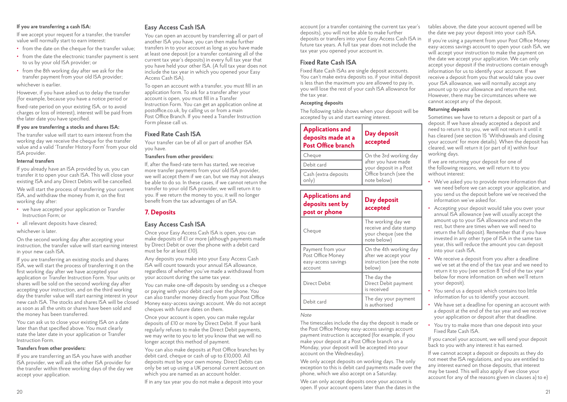#### **If you are transferring a cash ISA:**

If we accept your request for a transfer, the transfer value will normally start to earn interest:

- **•** from the date on the cheque for the transfer value;
- **•** from the date the electronic transfer payment is sent to us by your old ISA provider; or
- **•** from the 8th working day after we ask for the transfer payment from your old ISA provider;

#### whichever is earlier.

However, if you have asked us to delay the transfer (for example, because you have a notice period or

fixed-rate period on your existing ISA, or to avoid charges or loss of interest), interest will be paid from the later date you have specified.

#### **If you are transferring a stocks and shares ISA:**

The transfer value will start to earn interest from the working day we receive the cheque for the transfer value and a valid 'Transfer History Form' from your old ISA provider.

#### **Internal transfers**

If you already have an ISA provided by us, you can transfer it to open your cash ISA. This will close your existing ISA and any Direct Debits will be cancelled.

We will start the process of transferring your current ISA, and withdraw the money from it, on the first working day after:

- **•** we have accepted your application or Transfer Instruction Form; or
- **•** all relevant deposits have cleared;

#### whichever is later.

On the second working day after accepting your instruction, the transfer value will start earning interest in your new cash ISA.

If you are transferring an existing stocks and shares ISA, we will start the process of transferring it on the first working day after we have accepted your application or Transfer Instruction Form. Your units or shares will be sold on the second working day after accepting your instruction, and on the third working day the transfer value will start earning interest in your new cash ISA. The stocks and shares ISA will be closed as soon as all the units or shares have been sold and the money has been transferred.

You can ask us to close your existing ISA on a date later than that specified above. You must clearly state the later date in your application or Transfer Instruction Form.

#### **Transfers from other providers:**

If you are transferring an ISA you have with another ISA provider, we will ask the other ISA provider for the transfer within three working days of the day we accept your application.

#### **Easy Access Cash ISA**

You can open an account by transferring all or part of another ISA you have, you can then make further transfers in to your account as long as you have made at least one deposit (or a transfer containing all of the current tax year's deposits) in every full tax year that you have held your other ISA. (A full tax year does not include the tax year in which you opened your Easy Access Cash ISA).

To open an account with a transfer, you must fill in an application form. To ask for a transfer after your account is open, you must fill in a Transfer Instruction Form. You can get an application online at postoffice.co.uk, by calling us or from a main Post Office Branch. If you need a Transfer Instruction Form please call us.

#### **Fixed Rate Cash ISA**

Your transfer can be of all or part of another ISA you have.

#### **Transfers from other providers:**

If, after the fixed-rate term has started, we receive more transfer payments from your old ISA provider, we will accept them if we can, but we may not always be able to do so. In these cases, if we cannot return the transfer to your old ISA provider, we will return it to you. If we return the money to you, it will no longer benefit from the tax advantages of an ISA.

#### **7. Deposits**

#### **Easy Access Cash ISA**

Once your Easy Access Cash ISA is open, you can make deposits of £1 or more (although payments made by Direct Debit or over the phone with a debit card must be for at least £10).

Any deposits you make into your Easy Access Cash ISA will count towards your annual ISA allowance, regardless of whether you've made a withdrawal from your account during the same tax year.

You can make one-off deposits by sending us a cheque or paying with your debit card over the phone. You can also transfer money directly from your Post Office Money easy-access savings account. We do not accept cheques with future dates on them.

Once your account is open, you can make regular deposits of £10 or more by Direct Debit. If your bank regularly refuses to make the Direct Debit payments, we may write to you to let you know that we will no longer accept this method of payment.

You can also make deposits at Post Office branches by debit card, cheque or cash of up to £10,000. All deposits must be your own money. Direct Debits can only be set up using a UK personal current account on which you are named as an account holder.

If in any tax year you do not make a deposit into your

account (or a transfer containing the current tax year's deposits), you will not be able to make further deposits or transfers into your Easy Access Cash ISA in future tax years. A full tax year does not include the tax year you opened your account in.

#### **Fixed Rate Cash ISA**

Fixed Rate Cash ISAs are single deposit accounts. You can't make extra deposits so, if your initial deposit is less than the maximum you are allowed to pay in, you will lose the rest of your cash ISA allowance for the tax year.

#### **Accepting deposits**

The following table shows when your deposit will be accepted by us and start earning interest.

| <b>Applications and</b><br>deposits made at a<br><b>Post Office branch</b> | Day deposit<br>accepted                       |
|----------------------------------------------------------------------------|-----------------------------------------------|
| On the 3rd working day<br>Cheque                                           |                                               |
| Debit card                                                                 | after you have made<br>your deposit in a Post |
| Cash (extra deposits<br>only)                                              | Office branch (see the<br>note below)         |

| <b>Applications and</b><br>deposits sent by<br>post or phone             | Day deposit<br>accepted                                                               |
|--------------------------------------------------------------------------|---------------------------------------------------------------------------------------|
| Cheque                                                                   | The working day we<br>receive and date stamp<br>your cheque (see the<br>note below)   |
| Payment from your<br>Post Office Money<br>easy-access savings<br>account | On the 4th working day<br>after we accept your<br>instruction (see the note<br>below) |
| Direct Debit                                                             | The day the<br>Direct Debit payment<br>is received                                    |
| Debit card                                                               | The day your payment<br>is authorised                                                 |

#### *Note*

The timescales include the day the deposit is made or the Post Office Money easy-access savings account payment instruction is accepted (for example, if you make your deposit at a Post Office branch on a Monday, your deposit will be accepted into your account on the Wednesday).

We only accept deposits on working days. The only exception to this is debit card payments made over the phone, which we also accept on a Saturday.

20 21 We can only accept deposits once your account is open. If your account opens later than the dates in the

tables above, the date your account opened will be the date we pay your deposit into your cash ISA.

If you're using a payment from your Post Office Money easy-access savings account to open your cash ISA, we will accept your instruction to make the payment on the date we accept your application. We can only accept your deposit if the instructions contain enough information for us to identify your account. If we receive a deposit from you that would take you over your ISA allowance, we will normally accept any amount up to your allowance and return the rest. However, there may be circumstances where we cannot accept any of the deposit.

#### **Returning deposits**

Sometimes we have to return a deposit or part of a deposit. If we have already accepted a deposit and need to return it to you, we will not return it until it has cleared (see section 15 'Withdrawals and closing your account' for more details). When the deposit has cleared, we will return it (or part of it) within four working days.

If we are returning your deposit for one of the following reasons, we will return it to you without interest:

- **•** We've asked you to provide more information that we need before we can accept your application, and you send us the deposit before we've received the information we've asked for.
- **•** Accepting your deposit would take you over your annual ISA allowance (we will usually accept the amount up to your ISA allowance and return the rest, but there are times when we will need to return the full deposit). Remember that if you have invested in any other type of ISA in the same tax year, this will reduce the amount you can deposit into your cash ISA.
- **•** We receive a deposit from you after a deadline we've set at the end of the tax year and we need to return it to you (see section 8 'End of the tax year' below for more information on when we'll return your deposit).
- **•** You send us a deposit which contains too little information for us to identify your account.
- **•** We have set a deadline for opening an account with a deposit at the end of the tax year and we receive your application or deposit after that deadline.
- **•** You try to make more than one deposit into your Fixed Rate Cash ISA.

If you cancel your account, we will send your deposit back to you with any interest it has earned.

If we cannot accept a deposit or deposits as they do not meet the ISA regulations, and you are entitled to any interest earned on those deposits, that interest may be taxed. This will also apply if we close your account for any of the reasons given in clauses a) to e)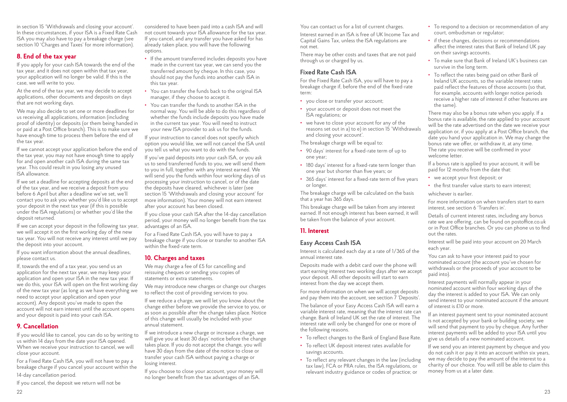in section 15 'Withdrawals and closing your account'. In these circumstances, if your ISA is a Fixed Rate Cash ISA you may also have to pay a breakage charge (see section 10 'Charges and Taxes' for more information).

#### **8. End of the tax year**

If you apply for your cash ISA towards the end of the tax year, and it does not open within that tax year, your application will no longer be valid. If this is the case, we will write to you.

At the end of the tax year, we may decide to accept applications, other documents and deposits on days that are not working days.

We may also decide to set one or more deadlines for us receiving all applications, information (including proof of identity) or deposits (or them being handed in or paid at a Post Office branch). This is to make sure we have enough time to process them before the end of the tax year.

If we cannot accept your application before the end of the tax year, you may not have enough time to apply for and open another cash ISA during the same tax year. This could result in you losing any unused ISA allowance.

If we set a deadline for accepting deposits at the end of the tax year, and we receive a deposit from you before 6 April but after a deadline we've set, we'll contact you to ask you whether you'd like us to accept your deposit in the next tax year (if this is possible under the ISA regulations) or whether you'd like the deposit returned.

If we can accept your deposit in the following tax year, we will accept it on the first working day of the new tax year. You will not receive any interest until we pay the deposit into your account.

If you want information about the annual deadlines, please contact us.

If, towards the end of a tax year, you send us an application for the next tax year, we may keep your application and open your ISA in the new tax year. If we do this, your ISA will open on the first working day of the new tax year (as long as we have everything we need to accept your application and open your account). Any deposit you've made to open the account will not earn interest until the account opens and your deposit is paid into your cash ISA.

#### **9. Cancellation**

If you would like to cancel, you can do so by writing to us within 14 days from the date your ISA opened. When we receive your instruction to cancel, we will close your account.

For a Fixed Rate Cash ISA, you will not have to pay a breakage charge if you cancel your account within the

14-day cancellation period.

If you cancel, the deposit we return will not be

considered to have been paid into a cash ISA and will not count towards your ISA allowance for the tax year. If you cancel, and any transfer you have asked for has already taken place, you will have the following options.

- **•** If the amount transferred includes deposits you have made in the current tax year, we can send you the transferred amount by cheque. In this case, you should not pay the funds into another cash ISA in this tax year.
- **•** You can transfer the funds back to the original ISA manager, if they choose to accept it.
- **•** You can transfer the funds to another ISA in the normal way. You will be able to do this regardless of whether the funds include deposits you have made in the current tax year. You will need to instruct your new ISA provider to ask us for the funds.

If your instruction to cancel does not specify which option you would like, we will not cancel the ISA until you tell us what you want to do with the funds.

If you've paid deposits into your cash ISA, or you ask us to send transferred funds to you, we will send them to you in full, together with any interest earned. We will send you the funds within four working days of us processing your instruction to cancel, or of the date the deposits have cleared, whichever is later (see section 15 'Withdrawals and closing your account' for more information). Your money will not earn interest after your account has been closed.

If you close your cash ISA after the 14-day cancellation period, your money will no longer benefit from the tax advantages of an ISA.

For a Fixed Rate Cash ISA, you will have to pay a breakage charge if you close or transfer to another ISA within the fixed-rate term.

#### **10. Charges and taxes**

We may charge a fee of £5 for cancelling and reissuing cheques or sending you copies of statements or extra statements.

We may introduce new charges or change our charges to reflect the cost of providing services to you.

If we reduce a charge, we will let you know about the change either before we provide the service to you, or as soon as possible after the change takes place. Notice of this change will usually be included with your annual statement.

If we introduce a new charge or increase a charge, we will give you at least 30 days' notice before the change takes place. If you do not accept the change, you will have 30 days from the date of the notice to close or transfer your cash ISA without paying a charge or losing interest.

If you choose to close your account, your money will no longer benefit from the tax advantages of an ISA.

You can contact us for a list of current charges.

Interest earned in an ISA is free of UK Income Tax and Capital Gains Tax, unless the ISA regulations are not met.

There may be other costs and taxes that are not paid through us or charged by us.

#### **Fixed Rate Cash ISA**

For the Fixed Rate Cash ISA, you will have to pay a breakage charge if, before the end of the fixed-rate term:

- **•** you close or transfer your account;
- **•** your account or deposit does not meet the ISA regulations; or
- **•** we have to close your account for any of the reasons set out in a) to e) in section 15 'Withdrawals and closing your account'.

The breakage charge will be equal to:

- **•** 90 days' interest for a fixed-rate term of up to one year;
- **•** 180 days' interest for a fixed-rate term longer than one year but shorter than five years; or
- **•** 365 days' interest for a fixed-rate term of five years or longer.

The breakage charge will be calculated on the basis that a year has 365 days.

This breakage charge will be taken from any interest earned. If not enough interest has been earned, it will be taken from the balance of your account.

#### **11. Interest**

#### **Easy Access Cash ISA**

Interest is calculated each day at a rate of 1/365 of the annual interest rate.

Deposits made with a debit card over the phone will start earning interest two working days after we accept your deposit. All other deposits will start to earn interest from the day we accept them.

For more information on when we will accept deposits and pay them into the account, see section 7 'Deposits'.

The balance of your Easy Access Cash ISA will earn a variable interest rate, meaning that the interest rate can change. Bank of Ireland UK set the rate of interest. The interest rate will only be changed for one or more of the following reasons.

- **•** To reflect changes to the Bank of England Base Rate.
- **•** To reflect UK deposit interest rates available for savings accounts.
- **•** To reflect any relevant changes in the law (including tax law), FCA or PRA rules, the ISA regulations, or relevant industry guidance or codes of practice; or
- **•** To respond to a decision or recommendation of any court, ombudsman or regulator;
- **•** if these changes, decisions or recommendations affect the interest rates that Bank of Ireland UK pay on their savings accounts.
- **•** To make sure that Bank of Ireland UK's business can survive in the long term.
- **•** To reflect the rates being paid on other Bank of Ireland UK accounts, so the variable interest rates paid reflect the features of those accounts (so that, for example, accounts with longer notice periods receive a higher rate of interest if other features are the same).

There may also be a bonus rate when you apply. If a bonus rate is available, the rate applied to your account will be the rate advertised on the date we receive your application or, if you apply at a Post Office branch, the date you hand your application in. We may change the bonus rate we offer, or withdraw it, at any time. The rate you receive will be confirmed in your welcome letter.

If a bonus rate is applied to your account, it will be paid for 12 months from the date that:

- **•** we accept your first deposit; or
- **•** the first transfer value starts to earn interest;

whichever is earlier.

For more information on when transfers start to earn interest, see section 6 'Transfers in'.

Details of current interest rates, including any bonus rate we are offering, can be found on postoffice.co.uk or in Post Office branches. Or you can phone us to find out the rates.

Interest will be paid into your account on 20 March each year.

You can ask to have your interest paid to your nominated account (the account you've chosen for withdrawals or the proceeds of your account to be paid into).

Interest payments will normally appear in your nominated account within four working days of the day the interest is added to your ISA. We can only send interest to your nominated account if the amount of interest is £10 or more.

If an interest payment sent to your nominated account is not accepted by your bank or building society, we will send that payment to you by cheque. Any further interest payments will be added to your ISA until you give us details of a new nominated account.

If we send you an interest payment by cheque and you do not cash it or pay it into an account within six years, we may decide to pay the amount of the interest to a charity of our choice. You will still be able to claim this money from us at a later date.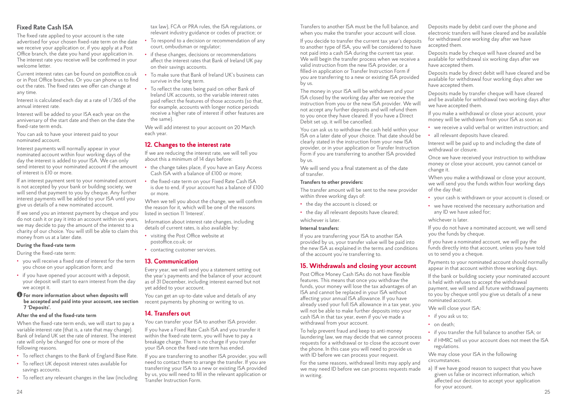#### **Fixed Rate Cash ISA**

The fixed rate applied to your account is the rate advertised for your chosen fixed-rate term on the date we receive your application or, if you apply at a Post Office branch, the date you hand your application in. The interest rate you receive will be confirmed in your welcome letter.

Current interest rates can be found on postoffice.co.uk or in Post Office branches. Or you can phone us to find out the rates. The fixed rates we offer can change at any time.

Interest is calculated each day at a rate of 1/365 of the annual interest rate.

Interest will be added to your ISA each year on the anniversary of the start date and then on the date the fixed-rate term ends.

You can ask to have your interest paid to your nominated account.

Interest payments will normally appear in your nominated account within four working days of the day the interest is added to your ISA. We can only send interest to your nominated account if the amount of interest is £10 or more.

If an interest payment sent to your nominated account is not accepted by your bank or building society, we will send that payment to you by cheque. Any further interest payments will be added to your ISA until you give us details of a new nominated account.

If we send you an interest payment by cheque and you do not cash it or pay it into an account within six years, we may decide to pay the amount of the interest to a charity of our choice. You will still be able to claim this money from us at a later date.

#### **During the fixed-rate term**

During the fixed-rate term:

- **•** you will receive a fixed rate of interest for the term you chose on your application form; and
- **•** if you have opened your account with a deposit, your deposit will start to earn interest from the day we accept it.

#### **For more information about when deposits will be accepted and paid into your account, see section 7 'Deposits'.**

#### **After the end of the fixed-rate term**

When the fixed-rate term ends, we will start to pay a variable interest rate (that is, a rate that may change). Bank of Ireland UK set the rate of interest. The interest rate will only be changed for one or more of the following reasons.

- **•** To reflect changes to the Bank of England Base Rate.
- **•** To reflect UK deposit interest rates available for savings accounts.
- **•** To reflect any relevant changes in the law (including

tax law), FCA or PRA rules, the ISA regulations, or relevant industry guidance or codes of practice; or

- **•** To respond to a decision or recommendation of any court, ombudsman or regulator;
- **•** if these changes, decisions or recommendations affect the interest rates that Bank of Ireland UK pay on their savings accounts.
- **•** To make sure that Bank of Ireland UK's business can survive in the long term.
- **•** To reflect the rates being paid on other Bank of Ireland UK accounts, so the variable interest rates paid reflect the features of those accounts (so that for example, accounts with longer notice periods receive a higher rate of interest if other features are the same).

We will add interest to your account on 20 March each year.

#### **12. Changes to the interest rate**

If we are reducing the interest rate, we will tell you about this a minimum of 14 days before:

- **•** the change takes place, if you have an Easy Access Cash ISA with a balance of £100 or more;
- **•** the fixed-rate term on your Fixed Rate Cash ISA is due to end, if your account has a balance of £100 or more.

When we tell you about the change, we will confirm the reason for it, which will be one of the reasons listed in section 11 'Interest'.

Information about interest rate changes, including details of current rates, is also available by:

- **•** visiting the Post Office website at postoffice.co.uk; or
- **•** contacting customer services.

#### **13. Communication**

Every year, we will send you a statement setting out the year's payments and the balance of your account as of 31 December, including interest earned but not yet added to your account.

You can get an up-to-date value and details of any recent payments by phoning or writing to us.

#### **14. Transfers out**

You can transfer your ISA to another ISA provider.

If you have a Fixed Rate Cash ISA and you transfer it within the fixed-rate term, you will have to pay a breakage charge. There is no charge if you transfer your ISA once the fixed-rate term has ended.

If you are transferring to another ISA provider, you will need to contact them to arrange the transfer. If you are transferring your ISA to a new or existing ISA provided by us, you will need to fill in the relevant application or Transfer Instruction Form.

Transfers to another ISA must be the full balance, and when you make the transfer your account will close.

If you decide to transfer the current tax year's deposits to another type of ISA, you will be considered to have not paid into a cash ISA during the current tax year. We will begin the transfer process when we receive a valid instruction from the new ISA provider, or a filled-in application or Transfer Instruction Form if you are transferring to a new or existing ISA provided by us.

The money in your ISA will be withdrawn and your ISA closed by the working day after we receive the instruction from you or the new ISA provider. We will not accept any further deposits and will refund them to you once they have cleared. If you have a Direct Debit set up, it will be cancelled.

You can ask us to withdraw the cash held within your ISA on a later date of your choice. That date should be clearly stated in the instruction from your new ISA provider, or in your application or Transfer Instruction Form if you are transferring to another ISA provided by us.

We will send you a final statement as of the date of transfer.

#### **Transfers to other providers:**

The transfer amount will be sent to the new provider within three working days of:

- **•** the day the account is closed; or
- **•** the day all relevant deposits have cleared; whichever is later.

#### **Internal transfers:**

If you are transferring your ISA to another ISA provided by us, your transfer value will be paid into the new ISA as explained in the terms and conditions of the account you're transferring to.

#### **15. Withdrawals and closing your account**

Post Office Money Cash ISAs do not have flexible features. This means that once you withdraw the funds, your money will lose the tax advantages of an ISA and cannot be replaced in your ISA without affecting your annual ISA allowance. If you have already used your full ISA allowance in a tax year, you will not be able to make further deposits into your cash ISA in that tax year, even if you've made a withdrawal from your account.

To help prevent fraud and keep to anti-money laundering law, we may decide that we cannot process requests for a withdrawal or to close the account over the phone. In this case you will need to provide us with ID before we can process your request.

For the same reasons, withdrawal limits may apply and we may need ID before we can process requests made in writing.

Deposits made by debit card over the phone and electronic transfers will have cleared and be available for withdrawal one working day after we have accepted them.

Deposits made by cheque will have cleared and be available for withdrawal six working days after we have accepted them.

Deposits made by direct debit will have cleared and be available for withdrawal four working days after we have accepted them.

Deposits made by transfer cheque will have cleared and be available for withdrawal two working days after we have accepted them.

If you make a withdrawal or close your account, your money will be withdrawn from your ISA as soon as:

- **•** we receive a valid verbal or written instruction; and
- **•** all relevant deposits have cleared.

Interest will be paid up to and including the date of withdrawal or closure.

Once we have received your instruction to withdraw money or close your account, you cannot cancel or change it.

When you make a withdrawal or close your account, we will send you the funds within four working days of the day that:

- **•** your cash is withdrawn or your account is closed; or
- **•** we have received the necessary authorisation and any ID we have asked for;

#### whichever is later.

If you do not have a nominated account, we will send you the funds by cheque.

If you have a nominated account, we will pay the funds directly into that account, unless you have told us to send you a cheque.

Payments to your nominated account should normally appear in that account within three working days.

If the bank or building society your nominated account is held with refuses to accept the withdrawal payment, we will send all future withdrawal payments to you by cheque until you give us details of a new nominated account.

We will close your ISA:

- **•** if you ask us to;
- **•** on death;
- **•** if you transfer the full balance to another ISA; or
- **•** if HMRC tell us your account does not meet the ISA regulations.

We may close your ISA in the following circumstances.

a) If we have good reason to suspect that you have given us false or incorrect information, which affected our decision to accept your application for your account.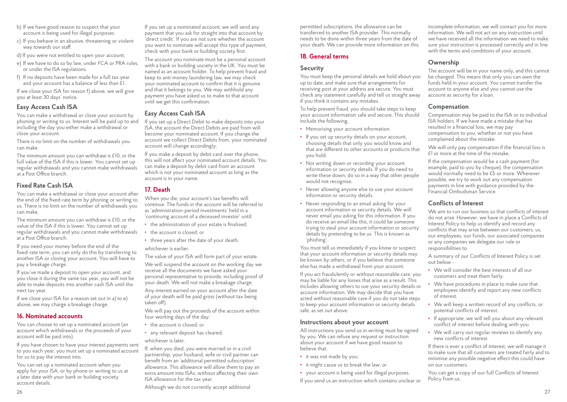- b) If we have good reason to suspect that your account is being used for illegal purposes.
- c) If you behave in an abusive, threatening or violent way towards our staff.
- d) If you were not entitled to open your account.
- e) If we have to do so by law, under FCA or PRA rules, or under the ISA regulations.
- f) If no deposits have been made for a full tax year and your account has a balance of less than £1.

If we close your ISA for reason f) above, we will give you at least 30 days' notice.

#### **Easy Access Cash ISA**

You can make a withdrawal or close your account by phoning or writing to us. Interest will be paid up to and including the day you either make a withdrawal or close your account.

There is no limit on the number of withdrawals you can make.

The minimum amount you can withdraw is £10, or the full value of the ISA if this is lower. You cannot set up regular withdrawals and you cannot make withdrawals at a Post Office branch.

#### **Fixed Rate Cash ISA**

You can make a withdrawal or close your account after the end of the fixed-rate term by phoning or writing to us. There is no limit on the number of withdrawals you can make.

The minimum amount you can withdraw is £10, or the value of the ISA if this is lower. You cannot set up regular withdrawals and you cannot make withdrawals at a Post Office branch.

If you need your money before the end of the fixed-rate term, you can only do this by transferring to another ISA or closing your account. You will have to pay a breakage charge.

If you've made a deposit to open your account, and you close it during the same tax year, you will not be able to make deposits into another cash ISA until the next tax year.

If we close your ISA for a reason set out in a) to e) above, we may charge a breakage charge.

#### **16. Nominated accounts**

You can choose to set up a nominated account (an account which withdrawals or the proceeds of your account will be paid into).

If you have chosen to have your interest payments sent to you each year, you must set up a nominated account for us to pay the interest into.

You can set up a nominated account when you apply for your ISA, or by phone or writing to us at a later date with your bank or building society account details.

If you set up a nominated account, we will send any payment that you ask for straight into that account by 'direct credit'. If you are not sure whether the account you want to nominate will accept this type of payment, check with your bank or building society first.

The account you nominate must be a personal account with a bank or building society in the UK. You must be named as an account holder. To help prevent fraud and keep to anti-money laundering law, we may check your nominated account to confirm that it is genuine and that it belongs to you. We may withhold any payment you have asked us to make to that account until we get this confirmation.

#### **Easy Access Cash ISA**

If you set up a Direct Debit to make deposits into your ISA, the account the Direct Debits are paid from will become your nominated account. If you change the account we collect Direct Debits from, your nominated account will change accordingly.

If you make a deposit by debit card over the phone, this will not affect your nominated account details. You can make a deposit by debit card from an account which is not your nominated account as long as the account is in your name.

#### **17. Death**

When you die, your account's tax benefits will continue. The funds in the account will be referred to as 'administration-period investments' held in a 'continuing account of a deceased investor' until:

- **•** the administration of your estate is finalised;
- **•** the account is closed; or
- **•** three years after the date of your death;

whichever is earlier. The value of your ISA will form part of your estate.

We will suspend the account on the working day we receive all the documents we have asked your personal representative to provide, including proof of your death. We will not make a breakage charge.

Any interest earned on your account after the date of your death will be paid gross (without tax being taken off).

We will pay out the proceeds of the account within four working days of the day:

- **•** the account is closed; or
- **•** any relevant deposit has cleared;

whichever is later.

If, when you died, you were married or in a civil partnership, your husband, wife or civil partner can benefit from an 'additional permitted subscription' allowance. This allowance will allow them to pay an extra amount into ISAs, without affecting their own ISA allowance for the tax year.

26 декември 1922 година в 2012 година в 2012 године и 2012 година в 2012 године и 2012 година в 2013 година в 2<br>26 декември 1922 година в 2012 година в 2012 година в 2012 година в 2013 година в 2013 година в 2013 година в Although we do not currently accept additional

permitted subscriptions, the allowance can be transferred to another ISA provider. This normally needs to be done within three years from the date of your death. We can provide more information on this.

#### **18. General terms**

#### **Security**

You must keep the personal details we hold about you up to date, and make sure that arrangements for receiving post at your address are secure. You must check any statement carefully and tell us straight away if you think it contains any mistakes.

To help prevent fraud, you should take steps to keep your account information safe and secure. This should include the following.

- **•** Memorising your account information.
- **•** If you set up security details on your account, choosing details that only you would know and that are different to other accounts or products that you hold.
- **•** Not writing down or recording your account information or security details. If you do need to write these down, do so in a way that other people would not recognise.
- **•** Never allowing anyone else to use your account information or security details.
- **•** Never responding to an email asking for your account information or security details. We will never email you asking for this information. If you do receive an email like this, it could be someone trying to steal your account information or security details by pretending to be us. This is known as 'phishing'.

You must tell us immediately if you know or suspect that your account information or security details may be known by others, or if you believe that someone else has made a withdrawal from your account.

If you act fraudulently or without reasonable care, you may be liable for any losses that arise as a result. This includes allowing others to use your security details or account information. We may decide that you have acted without reasonable care if you do not take steps to keep your account information or security details safe, as set out above.

#### **Instructions about your account**

All instructions you send us in writing must be signed by you. We can refuse any request or instruction about your account if we have good reason to believe that:

- **•** it was not made by you;
- **•** it might cause us to break the law; or
- **•** your account is being used for illegal purposes.

If you send us an instruction which contains unclear or

incomplete information, we will contact you for more information. We will not act on any instruction until we have received all the information we need to make sure your instruction is processed correctly and in line with the terms and conditions of your account.

#### **Ownership**

The account will be in your name only, and this cannot be changed. This means that only you can own the funds held in your account. You cannot transfer the account to anyone else and you cannot use the account as security for a loan.

#### **Compensation**

Compensation may be paid to the ISA or to individual ISA holders. If we have made a mistake that has resulted in a financial loss, we may pay compensation to you, whether or not you have complained about the mistake.

We will only pay compensation if the financial loss is £1 or more at the time of the mistake.

If the compensation would be a cash payment (for example, paid to you by cheque), the compensation would normally need to be £5 or more. Wherever possible, we try to work out any compensation payments in line with guidance provided by the Financial Ombudsman Service.

#### **Conflicts of Interest**

We aim to run our business so that conflicts of interest do not arise. However, we have in place a Conflicts of Interest Policy to help us identify and record any conflicts that may arise between our customers, us, our employees, our funds, our associated companies or any companies we delegate our role or responsibilities to.

A summary of our Conflicts of Interest Policy is set out below -

- **•** We will consider the best interests of all our customers and treat them fairly.
- **•** We have procedures in place to make sure that employees identify and report any new conflicts of interest.
- **•** We will keep a written record of any conflicts, or potential conflicts of interest.
- **•** If appropriate, we will tell you about any relevant conflict of interest before dealing with you.
- **•** We will carry out regular reviews to identify any new conflicts of interest.

If there is ever a conflict of interest, we will manage it to make sure that all customers are treated fairly and to minimise any possible negative effect this could have on our customers.

You can get a copy of our full Conflicts of Interest Policy from us.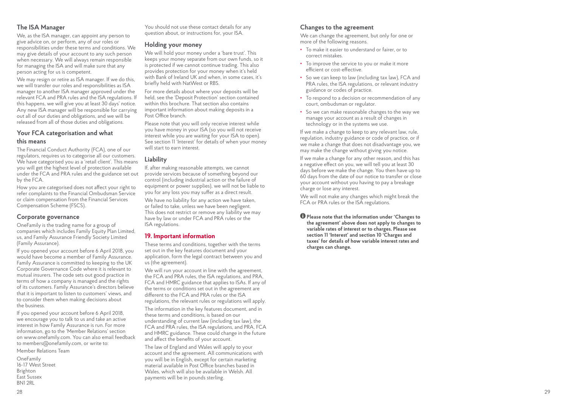#### **The ISA Manager**

We, as the ISA manager, can appoint any person to give advice on, or perform, any of our roles or responsibilities under these terms and conditions. We may give details of your account to any such person when necessary. We will always remain responsible for managing the ISA and will make sure that any person acting for us is competent.

We may resign or retire as ISA manager. If we do this, we will transfer our roles and responsibilities as ISA manager to another ISA manager approved under the relevant FCA and PRA rules and the ISA regulations. If this happens, we will give you at least 30 days' notice. Any new ISA manager will be responsible for carrying out all of our duties and obligations, and we will be released from all of those duties and obligations.

#### **Your FCA categorisation and what this means**

The Financial Conduct Authority (FCA), one of our regulators, requires us to categorise all our customers. We have categorised you as a 'retail client'. This means you will get the highest level of protection available under the FCA and PRA rules and the guidance set out by the FCA.

How you are categorised does not affect your right to refer complaints to the Financial Ombudsman Service or claim compensation from the Financial Services Compensation Scheme (FSCS).

#### **Corporate governance**

OneFamily is the trading name for a group of companies which includes Family Equity Plan Limited, us, and Family Assurance Friendly Society Limited (Family Assurance).

If you opened your account before 6 April 2018, you would have become a member of Family Assurance. Family Assurance is committed to keeping to the UK Corporate Governance Code where it is relevant to mutual insurers. The code sets out good practice in terms of how a company is managed and the rights of its customers. Family Assurance's directors believe that it is important to listen to customers' views, and to consider them when making decisions about the business.

If you opened your account before 6 April 2018, we encourage you to talk to us and take an active interest in how Family Assurance is run. For more information, go to the 'Member Relations' section on www.onefamily.com. You can also email feedback to members@onefamily.com, or write to:

Member Relations Team

OneFamily 16-17 West Street Brighton East Sussex BN1 2RL

You should not use these contact details for any question about, or instructions for, your ISA.

#### **Holding your money**

We will hold your money under a 'bare trust'. This keeps your money separate from our own funds, so it is protected if we cannot continue trading. This also provides protection for your money when it's held with Bank of Ireland UK and when, in some cases, it's briefly held with NatWest or RBS.

For more details about where your deposits will be held, see the 'Deposit Protection' section contained within this brochure. That section also contains important information about making deposits in a Post Office branch

Please note that you will only receive interest while you have money in your ISA (so you will not receive interest while you are waiting for your ISA to open). See section 11 'Interest' for details of when your money will start to earn interest.

#### **Liability**

If, after making reasonable attempts, we cannot provide services because of something beyond our control (including industrial action or the failure of equipment or power supplies), we will not be liable to you for any loss you may suffer as a direct result.

We have no liability for any action we have taken, or failed to take, unless we have been negligent. This does not restrict or remove any liability we may have by law or under FCA and PRA rules or the ISA regulations.

#### **19. Important information**

These terms and conditions, together with the terms set out in the key features document and your application, form the legal contract between you and us (the agreement).

We will run your account in line with the agreement, the FCA and PRA rules, the ISA regulations, and PRA, FCA and HMRC guidance that applies to ISAs. If any of the terms or conditions set out in the agreement are different to the FCA and PRA rules or the ISA regulations, the relevant rules or regulations will apply.

The information in the key features document, and in these terms and conditions, is based on our understanding of current law (including tax law), the FCA and PRA rules, the ISA regulations, and PRA, FCA and HMRC guidance. These could change in the future and affect the benefits of your account.

The law of England and Wales will apply to your account and the agreement. All communications with you will be in English, except for certain marketing material available in Post Office branches based in Wales, which will also be available in Welsh. All payments will be in pounds sterling.

#### **Changes to the agreement**

We can change the agreement, but only for one or more of the following reasons.

- **•** To make it easier to understand or fairer, or to correct mistakes.
- **•** To improve the service to you or make it more efficient or cost-effective.
- **•** So we can keep to law (including tax law), FCA and PRA rules, the ISA regulations, or relevant industry guidance or codes of practice.
- **•** To respond to a decision or recommendation of any court, ombudsman or regulator.
- **•** So we can make reasonable changes to the way we manage your account as a result of changes in technology or in the systems we use.

If we make a change to keep to any relevant law, rule, regulation, industry guidance or code of practice, or if we make a change that does not disadvantage you, we may make the change without giving you notice.

If we make a change for any other reason, and this has a negative effect on you, we will tell you at least 30 days before we make the change. You then have up to 60 days from the date of our notice to transfer or close your account without you having to pay a breakage charge or lose any interest.

We will not make any changes which might break the FCA or PRA rules or the ISA regulations.

**Please note that the information under 'Changes to the agreement' above does not apply to changes to variable rates of interest or to charges. Please see section 11 'Interest' and section 10 'Charges and taxes' for details of how variable interest rates and charges can change.**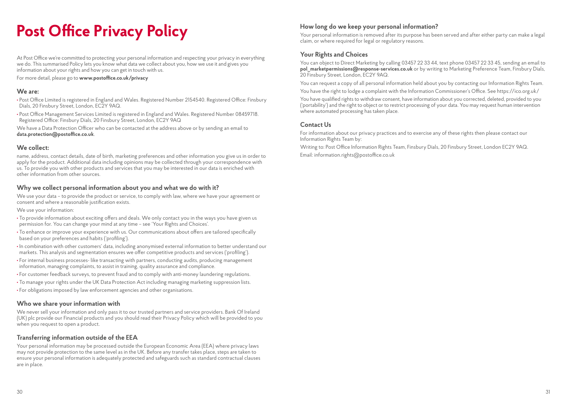# **Post Office Privacy Policy How long do we keep your personal information?**

At Post Office we're committed to protecting your personal information and respecting your privacy in everything we do. This summarised Policy lets you know what data we collect about you, how we use it and gives you information about your rights and how you can get in touch with us.

For more detail, please go to **www.postoffice.co.uk/privacy**

#### **We are:**

- **•** Post Office Limited is registered in England and Wales. Registered Number 2154540. Registered Office: Finsbury Dials, 20 Finsbury Street, London, EC2Y 9AQ.
- **•** Post Office Management Services Limited is registered in England and Wales. Registered Number 08459718. Registered Office: Finsbury Dials, 20 Finsbury Street, London, EC2Y 9AQ

We have a Data Protection Officer who can be contacted at the address above or by sending an email to **data.protection@postoffice.co.uk**.

#### **We collect:**

name, address, contact details, date of birth, marketing preferences and other information you give us in order to apply for the product. Additional data including opinions may be collected through your correspondence with us. To provide you with other products and services that you may be interested in our data is enriched with other information from other sources.

#### **Why we collect personal information about you and what we do with it?**

We use your data – to provide the product or service, to comply with law, where we have your agreement or consent and where a reasonable justification exists.

We use your information:

- **•** To provide information about exciting offers and deals. We only contact you in the ways you have given us permission for. You can change your mind at any time – see 'Your Rights and Choices'.
- **•** To enhance or improve your experience with us. Our communications about offers are tailored specifically based on your preferences and habits ('profiling').
- **•** In combination with other customers' data, including anonymised external information to better understand our markets. This analysis and segmentation ensures we offer competitive products and services ('profiling').
- **•** For internal business processes- like transacting with partners, conducting audits, producing management information, managing complaints, to assist in training, quality assurance and compliance.
- **•** For customer feedback surveys, to prevent fraud and to comply with anti-money laundering regulations.
- **•** To manage your rights under the UK Data Protection Act including managing marketing suppression lists.
- **•** For obligations imposed by law enforcement agencies and other organisations.

#### **Who we share your information with**

We never sell your information and only pass it to our trusted partners and service providers. Bank Of Ireland (UK) plc provide our Financial products and you should read their Privacy Policy which will be provided to you when you request to open a product.

#### **Transferring information outside of the EEA**

Your personal information may be processed outside the European Economic Area (EEA) where privacy laws may not provide protection to the same level as in the UK. Before any transfer takes place, steps are taken to ensure your personal information is adequately protected and safeguards such as standard contractual clauses are in place.

Your personal information is removed after its purpose has been served and after either party can make a legal claim, or where required for legal or regulatory reasons.

#### **Your Rights and Choices**

You can object to Direct Marketing by calling 03457 22 33 44, text phone 03457 22 33 45, sending an email to **pol\_marketpermissions@response-services.co.uk** or by writing to Marketing Preference Team, Finsbury Dials, 20 Finsbury Street, London, EC2Y 9AQ.

You can request a copy of all personal information held about you by contacting our Information Rights Team.

You have the right to lodge a complaint with the Information Commissioner's Office. See https://ico.org.uk/

You have qualified rights to withdraw consent, have information about you corrected, deleted, provided to you ('portability') and the right to object or to restrict processing of your data. You may request human intervention where automated processing has taken place.

#### **Contact Us**

For information about our privacy practices and to exercise any of these rights then please contact our Information Rights Team by:

Writing to: Post Office Information Rights Team, Finsbury Dials, 20 Finsbury Street, London EC2Y 9AQ. Email: information.rights@postoffice.co.uk